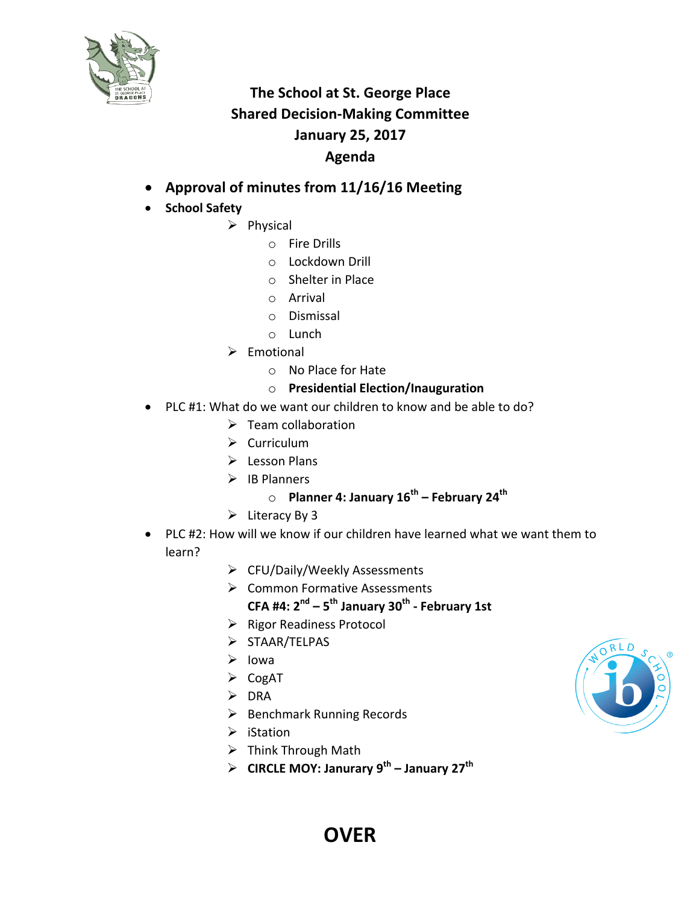

## **The School at St. George Place Shared Decision-Making Committee January 25, 2017 Agenda**

- Approval of minutes from 11/16/16 Meeting
- **School Safety**
	- $\triangleright$  Physical
		- $\circ$  Fire Drills
		- o Lockdown Drill
		- $\circ$  Shelter in Place
		- o Arrival
		- o Dismissal
		- o Lunch
	- $\triangleright$  Emotional
		- o No Place for Hate
		- o **Presidential Election/Inauguration**
- PLC #1: What do we want our children to know and be able to do?
	- $\triangleright$  Team collaboration
	- $\triangleright$  Curriculum
	- $\triangleright$  Lesson Plans
	- $\triangleright$  IB Planners
		- o **Planner 4: January 16th – February 24th**
	- $\triangleright$  Literacy By 3
- PLC #2: How will we know if our children have learned what we want them to learn?
	- $\triangleright$  CFU/Daily/Weekly Assessments
	- $\triangleright$  Common Formative Assessments **CFA #4: 2nd – 5th January 30th - February 1st**
	- $\triangleright$  Rigor Readiness Protocol
	- Ø STAAR/TELPAS
	- $\triangleright$  Iowa
	- $\triangleright$  CogAT
	- $\triangleright$  DRA
	- $\triangleright$  Benchmark Running Records
	- $\triangleright$  iStation
	- $\triangleright$  Think Through Math
	- Ø **CIRCLE MOY: Janurary 9th – January 27th**